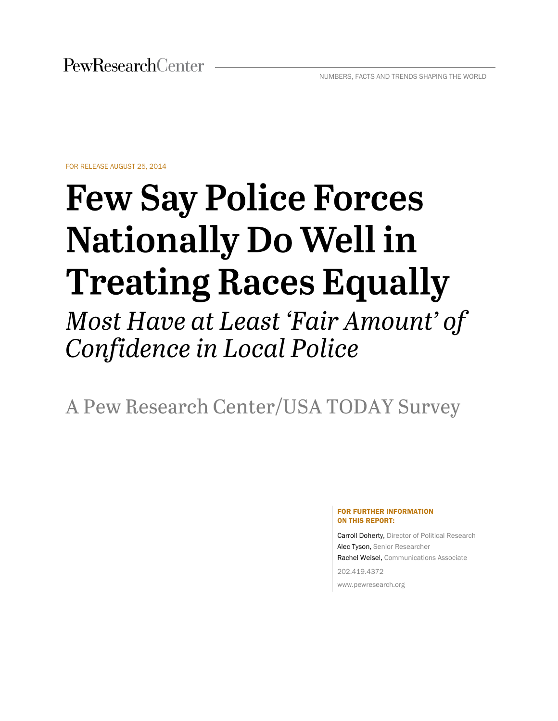FOR RELEASE AUGUST 25, 2014

# **Few Say Police Forces Nationally Do Well in Treating Races Equally**

Most Have at Least 'Fair Amount' of Confidence in Local Police

A Pew Research Center/USA TODAY Survey

#### FOR FURTHER INFORMATION ON THIS REPORT:

Carroll Doherty, Director of Political Research Alec Tyson, Senior Researcher Rachel Weisel, Communications Associate

202.419.4372 www.pewresearch.org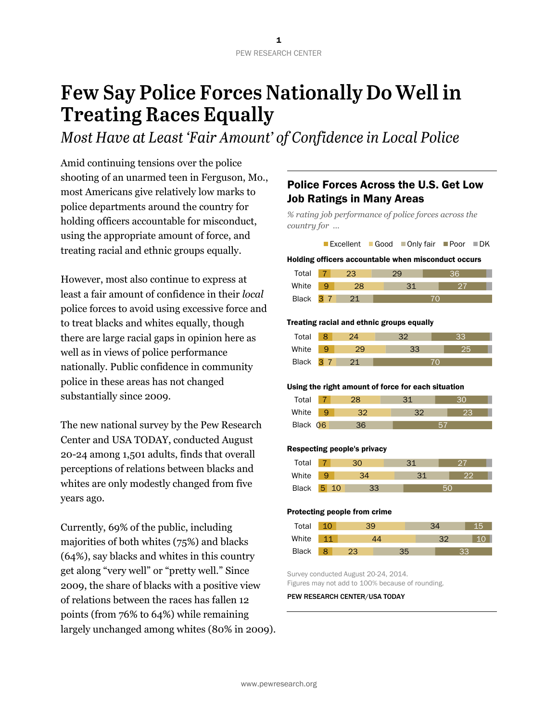# **Few Say Police Forces Nationally Do Well in Treating Races Equally**

Most Have at Least 'Fair Amount' of Confidence in Local Police

Amid continuing tensions over the police shooting of an unarmed teen in Ferguson, Mo., most Americans give relatively low marks to police departments around the country for holding officers accountable for misconduct, using the appropriate amount of force, and treating racial and ethnic groups equally.

However, most also continue to express at least a fair amount of confidence in their *local* police forces to avoid using excessive force and to treat blacks and whites equally, though there are large racial gaps in opinion here as well as in views of police performance nationally. Public confidence in community police in these areas has not changed substantially since 2009.

The new national survey by the Pew Research Center and USA TODAY, conducted August 20-24 among 1,501 adults, finds that overall perceptions of relations between blacks and whites are only modestly changed from five years ago.

Currently, 69% of the public, including majorities of both whites (75%) and blacks (64%), say blacks and whites in this country get along "very well" or "pretty well." Since 2009, the share of blacks with a positive view of relations between the races has fallen 12 points (from 76% to 64%) while remaining largely unchanged among whites (80% in 2009).

## Police Forces Across the U.S. Get Low Job Ratings in Many Areas

*% rating job performance of police forces across the country for …*



#### Holding officers accountable when misconduct occurs

| Total     |  |  |  |
|-----------|--|--|--|
| White     |  |  |  |
| Black 3 7 |  |  |  |

#### Treating racial and ethnic groups equally

| Total     |  |    |  |
|-----------|--|----|--|
| White     |  | 33 |  |
| Black 3 7 |  |    |  |

#### Using the right amount of force for each situation

| Total    |    |  |
|----------|----|--|
| White    | מכ |  |
| Black 06 |    |  |

#### Respecting people's privacy

| Total |   |  |  |
|-------|---|--|--|
| White |   |  |  |
| Black | 5 |  |  |

#### Protecting people from crime

| Total        |  |    |  |
|--------------|--|----|--|
| White        |  |    |  |
| <b>Black</b> |  | रन |  |

Survey conducted August 20-24, 2014. Figures may not add to 100% because of rounding.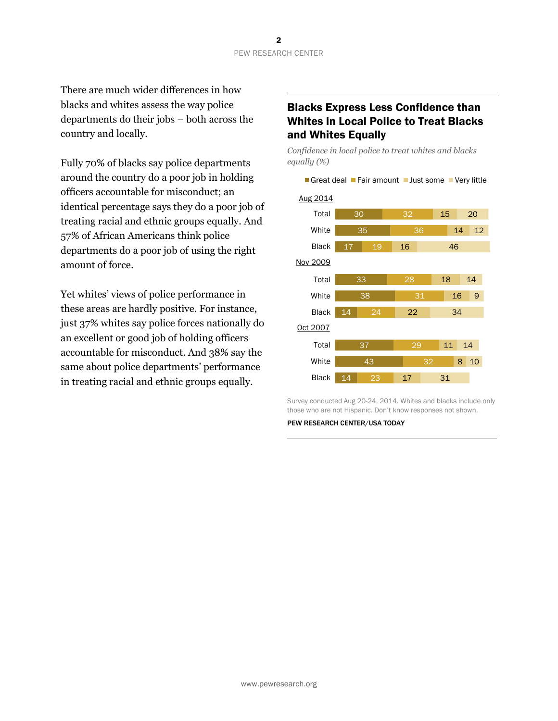There are much wider differences in how blacks and whites assess the way police departments do their jobs – both across the country and locally.

Fully 70% of blacks say police departments around the country do a poor job in holding officers accountable for misconduct; an identical percentage says they do a poor job of treating racial and ethnic groups equally. And 57% of African Americans think police departments do a poor job of using the right amount of force.

Yet whites' views of police performance in these areas are hardly positive. For instance, just 37% whites say police forces nationally do an excellent or good job of holding officers accountable for misconduct. And 38% say the same about police departments' performance in treating racial and ethnic groups equally.

## Blacks Express Less Confidence than Whites in Local Police to Treat Blacks and Whites Equally

*Confidence in local police to treat whites and blacks equally (%)*

Great deal Fair amount Just some Very little

30 35  $17<sup>-1</sup>$ 33 38 14 37 43 14 32 36  $19$ 28 31 24  $29$ 23 15 14 16 18 16 22 11 8 10 17 20 12 46 14 9 34 14 31 Total **White** Black | Total **White** Black Total White Black Aug 2014 Nov 2009 Oct 2007

Survey conducted Aug 20-24, 2014. Whites and blacks include only those who are not Hispanic. Don't know responses not shown.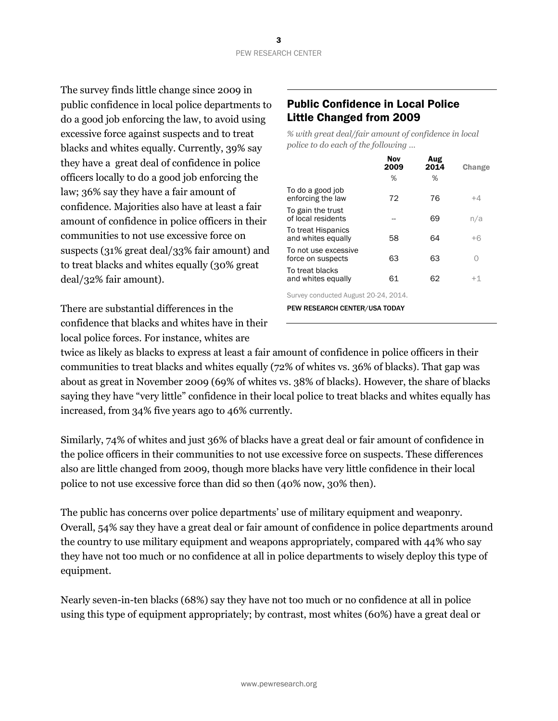The survey finds little change since 2009 in public confidence in local police departments to do a good job enforcing the law, to avoid using excessive force against suspects and to treat blacks and whites equally. Currently, 39% say they have a great deal of confidence in police officers locally to do a good job enforcing the law; 36% say they have a fair amount of confidence. Majorities also have at least a fair amount of confidence in police officers in their communities to not use excessive force on suspects (31% great deal/33% fair amount) and to treat blacks and whites equally (30% great deal/32% fair amount).

There are substantial differences in the confidence that blacks and whites have in their local police forces. For instance, whites are

## Public Confidence in Local Police Little Changed from 2009

*% with great deal/fair amount of confidence in local police to do each of the following …*

|                                           | Nov<br>2009 | Aug<br>2014 | Change |
|-------------------------------------------|-------------|-------------|--------|
|                                           | %           | %           |        |
| To do a good job<br>enforcing the law     | 72          | 76          | +4     |
| To gain the trust<br>of local residents   |             | 69          | n/a    |
| To treat Hispanics<br>and whites equally  | 58          | 64          | $+6$   |
| To not use excessive<br>force on suspects | 63          | 63          | Ω      |
| To treat blacks<br>and whites equally     | 61          | 62          | $+1$   |
|                                           |             |             |        |

Survey conducted August 20-24, 2014.

PEW RESEARCH CENTER/USA TODAY

twice as likely as blacks to express at least a fair amount of confidence in police officers in their communities to treat blacks and whites equally (72% of whites vs. 36% of blacks). That gap was about as great in November 2009 (69% of whites vs. 38% of blacks). However, the share of blacks saying they have "very little" confidence in their local police to treat blacks and whites equally has increased, from 34% five years ago to 46% currently.

Similarly, 74% of whites and just 36% of blacks have a great deal or fair amount of confidence in the police officers in their communities to not use excessive force on suspects. These differences also are little changed from 2009, though more blacks have very little confidence in their local police to not use excessive force than did so then (40% now, 30% then).

The public has concerns over police departments' use of military equipment and weaponry. Overall, 54% say they have a great deal or fair amount of confidence in police departments around the country to use military equipment and weapons appropriately, compared with 44% who say they have not too much or no confidence at all in police departments to wisely deploy this type of equipment.

Nearly seven-in-ten blacks (68%) say they have not too much or no confidence at all in police using this type of equipment appropriately; by contrast, most whites (60%) have a great deal or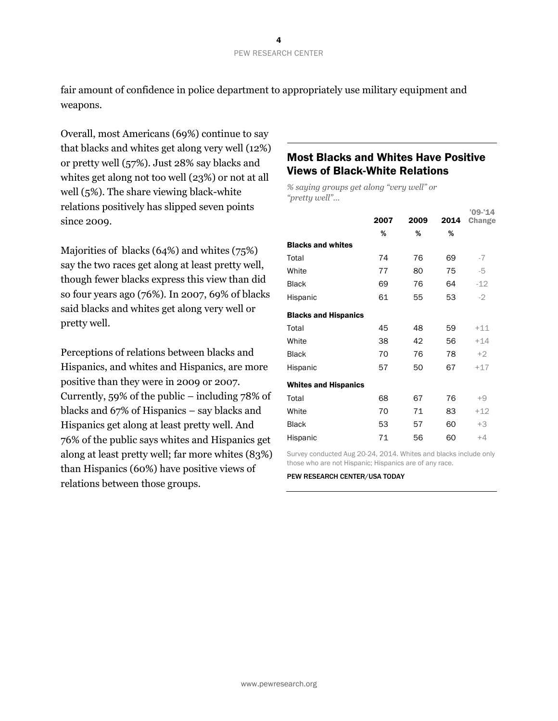fair amount of confidence in police department to appropriately use military equipment and weapons.

Overall, most Americans (69%) continue to say that blacks and whites get along very well (12%) or pretty well (57%). Just 28% say blacks and whites get along not too well (23%) or not at all well (5%). The share viewing black-white relations positively has slipped seven points since 2009.

Majorities of blacks (64%) and whites (75%) say the two races get along at least pretty well, though fewer blacks express this view than did so four years ago (76%). In 2007, 69% of blacks said blacks and whites get along very well or pretty well.

Perceptions of relations between blacks and Hispanics, and whites and Hispanics, are more positive than they were in 2009 or 2007. Currently, 59% of the public – including 78% of blacks and 67% of Hispanics – say blacks and Hispanics get along at least pretty well. And 76% of the public says whites and Hispanics get along at least pretty well; far more whites (83%) than Hispanics (60%) have positive views of relations between those groups.

### Most Blacks and Whites Have Positive Views of Black-White Relations

*% saying groups get along "very well" or "pretty well"…*

|                             | 2007 | 2009 | 2014 | $'09-'14$<br>Change |
|-----------------------------|------|------|------|---------------------|
|                             | %    | %    | %    |                     |
| <b>Blacks and whites</b>    |      |      |      |                     |
| Total                       | 74   | 76   | 69   | $-7$                |
| White                       | 77   | 80   | 75   | -5                  |
| <b>Black</b>                | 69   | 76   | 64   | $-12$               |
| Hispanic                    | 61   | 55   | 53   | $-2$                |
| <b>Blacks and Hispanics</b> |      |      |      |                     |
| Total                       | 45   | 48   | 59   | $+11$               |
| White                       | 38   | 42   | 56   | $+14$               |
| <b>Black</b>                | 70   | 76   | 78   | $+2$                |
| Hispanic                    | 57   | 50   | 67   | $+17$               |
| <b>Whites and Hispanics</b> |      |      |      |                     |
| Total                       | 68   | 67   | 76   | $+9$                |
| White                       | 70   | 71   | 83   | $+12$               |
| <b>Black</b>                | 53   | 57   | 60   | $+3$                |
| Hispanic                    | 71   | 56   | 60   | $+4$                |

Survey conducted Aug 20-24, 2014. Whites and blacks include only those who are not Hispanic; Hispanics are of any race.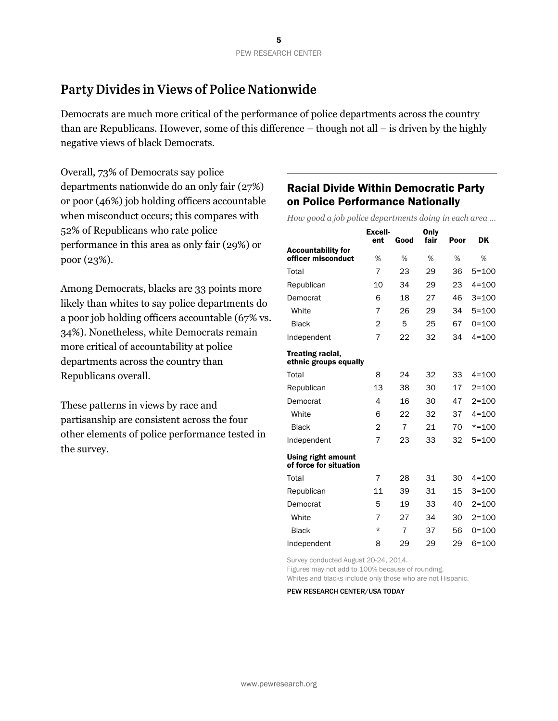# Party Divides in Views of Police Nationwide

Democrats are much more critical of the performance of police departments across the country than are Republicans. However, some of this difference – though not all – is driven by the highly negative views of black Democrats.

Overall, 73% of Democrats say police departments nationwide do an only fair (27%) or poor (46%) job holding officers accountable when misconduct occurs; this compares with 52% of Republicans who rate police performance in this area as only fair (29%) or poor (23%).

Among Democrats, blacks are 33 points more likely than whites to say police departments do a poor job holding officers accountable (67% vs. 34%). Nonetheless, white Democrats remain more critical of accountability at police departments across the country than Republicans overall.

These patterns in views by race and partisanship are consistent across the four other elements of police performance tested in the survey.

## Racial Divide Within Democratic Party on Police Performance Nationally

*How good a job police departments doing in each area …*

|                                                     | <b>Excell-</b><br>ent | Good           | Only<br>fair | Poor | DK        |
|-----------------------------------------------------|-----------------------|----------------|--------------|------|-----------|
| <b>Accountability for</b>                           |                       |                |              |      |           |
| officer misconduct                                  | %                     | %              | %            | %    | %         |
| Total                                               | $\overline{7}$        | 23             | 29           | 36   | $5 = 100$ |
| Republican                                          | 10                    | 34             | 29           | 23   | $4 = 100$ |
| Democrat                                            | 6                     | 18             | 27           | 46   | $3 = 100$ |
| White                                               | 7                     | 26             | 29           | 34   | $5 = 100$ |
| <b>Black</b>                                        | $\overline{2}$        | 5              | 25           | 67   | $0 = 100$ |
| Independent                                         | 7                     | 22             | 32           | 34   | $4 = 100$ |
| Treating racial,<br>ethnic groups equally           |                       |                |              |      |           |
| Total                                               | 8                     | 24             | 32           | 33   | $4 = 100$ |
| Republican                                          | 13                    | 38             | 30           | 17   | $2 = 100$ |
| Democrat                                            | 4                     | 16             | 30           | 47   | $2 = 100$ |
| White                                               | 6                     | 22             | 32           | 37   | $4 = 100$ |
| <b>Black</b>                                        | $\overline{2}$        | $\overline{7}$ | 21           | 70   | $* = 100$ |
| Independent                                         | $\overline{7}$        | 23             | 33           | 32   | $5 = 100$ |
| <b>Using right amount</b><br>of force for situation |                       |                |              |      |           |
| Total                                               | 7                     | 28             | 31           | 30   | $4 = 100$ |
| Republican                                          | 11                    | 39             | 31           | 15   | $3 = 100$ |
| Democrat                                            | 5                     | 19             | 33           | 40   | $2 = 100$ |
| White                                               | 7                     | 27             | 34           | 30   | $2 = 100$ |
| <b>Black</b>                                        | $\star$               | 7              | 37           | 56   | $0 = 100$ |
| Independent                                         | 8                     | 29             | 29           | 29   | $6 = 100$ |

Survey conducted August 20-24, 2014.

Figures may not add to 100% because of rounding.

Whites and blacks include only those who are not Hispanic.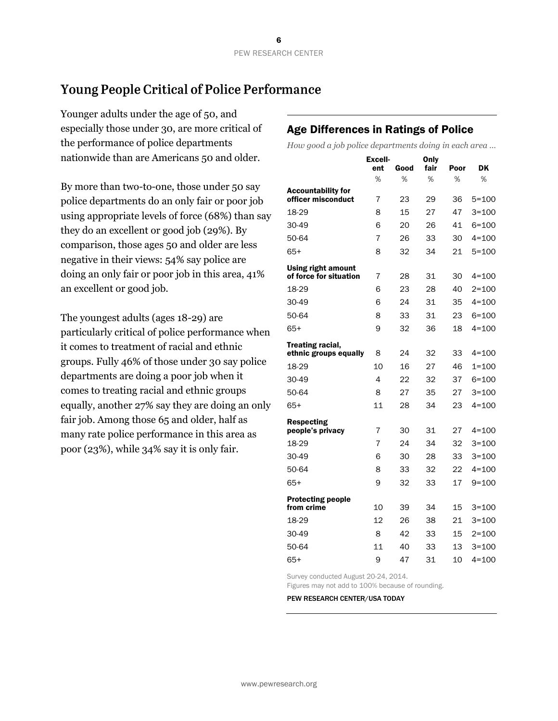# **Young People Critical of Police Performance**

Younger adults under the age of 50, and especially those under 30, are more critical of the performance of police departments nationwide than are Americans 50 and older.

By more than two-to-one, those under 50 say police departments do an only fair or poor job using appropriate levels of force (68%) than say they do an excellent or good job (29%). By comparison, those ages 50 and older are less negative in their views: 54% say police are doing an only fair or poor job in this area, 41% an excellent or good job.

The youngest adults (ages 18-29) are particularly critical of police performance when it comes to treatment of racial and ethnic groups. Fully 46% of those under 30 say police departments are doing a poor job when it comes to treating racial and ethnic groups equally, another 27% say they are doing an only fair job. Among those 65 and older, half as many rate police performance in this area as poor (23%), while 34% say it is only fair.

## Age Differences in Ratings of Police

*How good a job police departments doing in each area …*

|                                                     | <b>Excell-</b><br>ent | Good | Only<br>fair | Poor | DK        |
|-----------------------------------------------------|-----------------------|------|--------------|------|-----------|
|                                                     | %                     | %    | %            | %    | %         |
| <b>Accountability for</b><br>officer misconduct     | 7                     | 23   | 29           | 36   | $5 = 100$ |
| 18-29                                               | 8                     | 15   | 27           | 47   | $3 = 100$ |
| 30-49                                               | 6                     | 20   | 26           | 41   | $6 = 100$ |
| 50-64                                               | 7                     | 26   | 33           | 30   | $4 = 100$ |
| 65+                                                 | 8                     | 32   | 34           | 21   | $5 = 100$ |
| <b>Using right amount</b><br>of force for situation | 7                     | 28   | 31           | 30   | 4=100     |
| 18-29                                               | 6                     | 23   | 28           | 40   | $2 = 100$ |
| 30-49                                               | 6                     | 24   | 31           | 35   | $4 = 100$ |
| 50-64                                               | 8                     | 33   | 31           | 23   | $6 = 100$ |
| $65+$                                               | 9                     | 32   | 36           | 18   | $4 = 100$ |
| <b>Treating racial,</b><br>ethnic groups equally    | 8                     | 24   | 32           | 33   | $4 = 100$ |
| 18-29                                               | 10                    | 16   | 27           | 46   | 1=100     |
| 30-49                                               | 4                     | 22   | 32           | 37   | 6=100     |
| 50-64                                               | 8                     | 27   | 35           | 27   | 3=100     |
| $65+$                                               | 11                    | 28   | 34           | 23   | $4 = 100$ |
| <b>Respecting</b><br>people's privacy               | 7                     | 30   | 31           | 27   | $4 = 100$ |
| 18-29                                               | 7                     | 24   | 34           | 32   | $3 = 100$ |
| 30-49                                               | 6                     | 30   | 28           | 33   | 3=100     |
| 50-64                                               | 8                     | 33   | 32           | 22   | $4 = 100$ |
| $65+$                                               | 9                     | 32   | 33           | 17   | $9 = 100$ |
| <b>Protecting people</b><br>from crime              | 10                    | 39   | 34           | 15   | $3 = 100$ |
| 18-29                                               | 12                    | 26   | 38           | 21   | $3 = 100$ |
| 30-49                                               | 8                     | 42   | 33           | 15   | $2 = 100$ |
| 50-64                                               | 11                    | 40   | 33           | 13   | $3 = 100$ |
| $65+$                                               | 9                     | 47   | 31           | 10   | $4 = 100$ |

Survey conducted August 20-24, 2014.

Figures may not add to 100% because of rounding.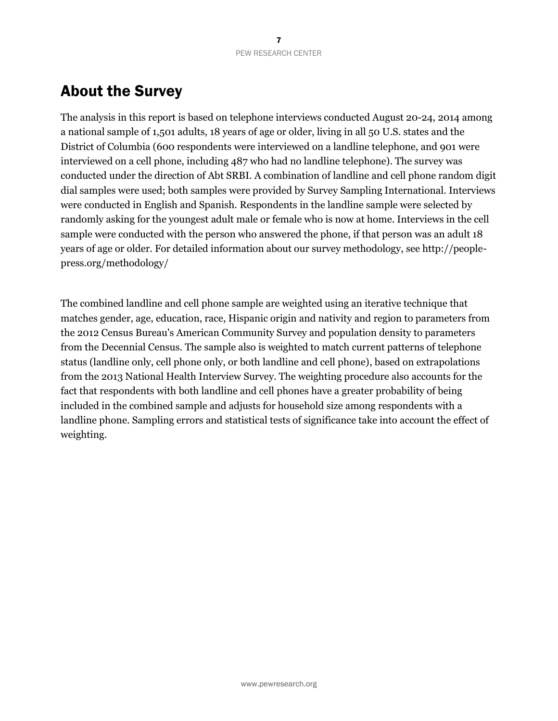# About the Survey

The analysis in this report is based on telephone interviews conducted August 20-24, 2014 among a national sample of 1,501 adults, 18 years of age or older, living in all 50 U.S. states and the District of Columbia (600 respondents were interviewed on a landline telephone, and 901 were interviewed on a cell phone, including 487 who had no landline telephone). The survey was conducted under the direction of Abt SRBI. A combination of landline and cell phone random digit dial samples were used; both samples were provided by Survey Sampling International. Interviews were conducted in English and Spanish. Respondents in the landline sample were selected by randomly asking for the youngest adult male or female who is now at home. Interviews in the cell sample were conducted with the person who answered the phone, if that person was an adult 18 years of age or older. For detailed information about our survey methodology, see http://peoplepress.org/methodology/

The combined landline and cell phone sample are weighted using an iterative technique that matches gender, age, education, race, Hispanic origin and nativity and region to parameters from the 2012 Census Bureau's American Community Survey and population density to parameters from the Decennial Census. The sample also is weighted to match current patterns of telephone status (landline only, cell phone only, or both landline and cell phone), based on extrapolations from the 2013 National Health Interview Survey. The weighting procedure also accounts for the fact that respondents with both landline and cell phones have a greater probability of being included in the combined sample and adjusts for household size among respondents with a landline phone. Sampling errors and statistical tests of significance take into account the effect of weighting.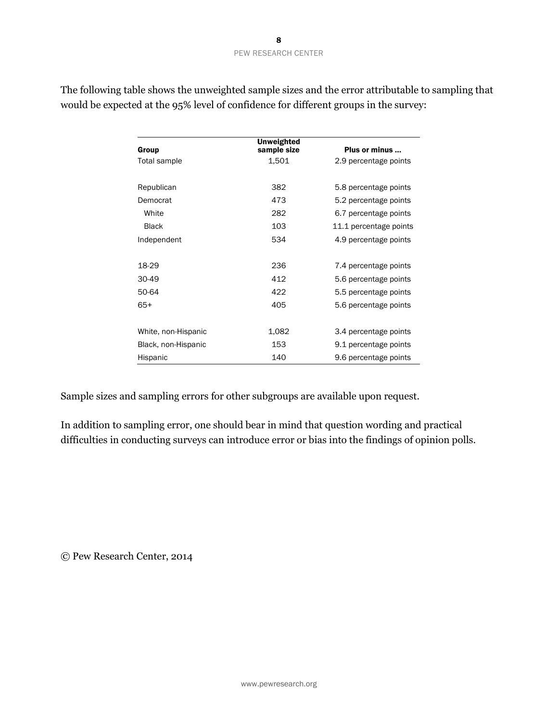| Group               | <b>Unweighted</b><br>sample size | Plus or minus          |
|---------------------|----------------------------------|------------------------|
| Total sample        | 1,501                            | 2.9 percentage points  |
| Republican          | 382                              | 5.8 percentage points  |
| Democrat            | 473                              | 5.2 percentage points  |
| White               | 282                              | 6.7 percentage points  |
| Black               | 103                              | 11.1 percentage points |
| Independent         | 534                              | 4.9 percentage points  |
|                     |                                  |                        |
| 18-29               | 236                              | 7.4 percentage points  |
| $30-49$             | 412                              | 5.6 percentage points  |
| 50-64               | 422                              | 5.5 percentage points  |
| $65+$               | 405                              | 5.6 percentage points  |
| White, non-Hispanic | 1,082                            | 3.4 percentage points  |
| Black, non-Hispanic | 153                              | 9.1 percentage points  |
| Hispanic            | 140                              | 9.6 percentage points  |

The following table shows the unweighted sample sizes and the error attributable to sampling that would be expected at the 95% level of confidence for different groups in the survey:

Sample sizes and sampling errors for other subgroups are available upon request.

In addition to sampling error, one should bear in mind that question wording and practical difficulties in conducting surveys can introduce error or bias into the findings of opinion polls.

© Pew Research Center, 2014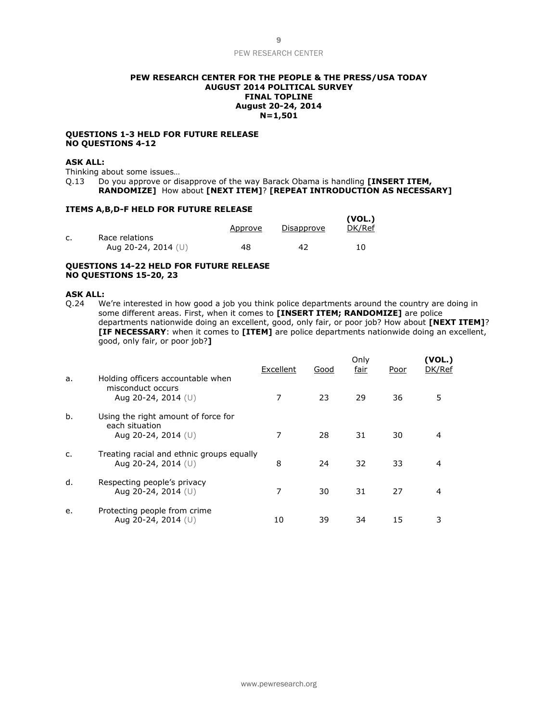#### **PEW RESEARCH CENTER FOR THE PEOPLE & THE PRESS/USA TODAY AUGUST 2014 POLITICAL SURVEY FINAL TOPLINE August 20-24, 2014 N=1,501**

#### **QUESTIONS 1-3 HELD FOR FUTURE RELEASE NO QUESTIONS 4-12**

#### **ASK ALL:**

Thinking about some issues…

Q.13 Do you approve or disapprove of the way Barack Obama is handling **[INSERT ITEM,** 

**RANDOMIZE]** How about **[NEXT ITEM]**? **[REPEAT INTRODUCTION AS NECESSARY]**

#### **ITEMS A,B,D-F HELD FOR FUTURE RELEASE**

|                                         | Approve | Disapprove | (VOL.)<br>DK/Ref |
|-----------------------------------------|---------|------------|------------------|
| Race relations<br>Aug 20-24, 2014 $(U)$ | 48      | 42         | 10               |

#### **QUESTIONS 14-22 HELD FOR FUTURE RELEASE NO QUESTIONS 15-20, 23**

#### **ASK ALL:**

Q.24 We're interested in how good a job you think police departments around the country are doing in some different areas. First, when it comes to **[INSERT ITEM; RANDOMIZE]** are police departments nationwide doing an excellent, good, only fair, or poor job? How about **[NEXT ITEM]**? **[IF NECESSARY**: when it comes to **[ITEM]** are police departments nationwide doing an excellent, good, only fair, or poor job?**]**

| a. | Holding officers accountable when                                              | Excellent | Good | Only<br>fair | Poor | (VOL.)<br>DK/Ref |
|----|--------------------------------------------------------------------------------|-----------|------|--------------|------|------------------|
|    | misconduct occurs<br>Aug 20-24, 2014 $(U)$                                     |           | 23   | 29           | 36   | 5                |
| b. | Using the right amount of force for<br>each situation<br>Aug 20-24, 2014 $(U)$ | 7         | 28   | 31           | 30   |                  |
| C. | Treating racial and ethnic groups equally<br>Aug 20-24, 2014 (U)               | 8         | 24   | 32           | 33   | 4                |
| d. | Respecting people's privacy<br>Aug 20-24, 2014 (U)                             | 7         | 30   | 31           | 27   | 4                |
| e. | Protecting people from crime<br>Aug 20-24, 2014 (U)                            | 10        | 39   | 34           | 15   | 3                |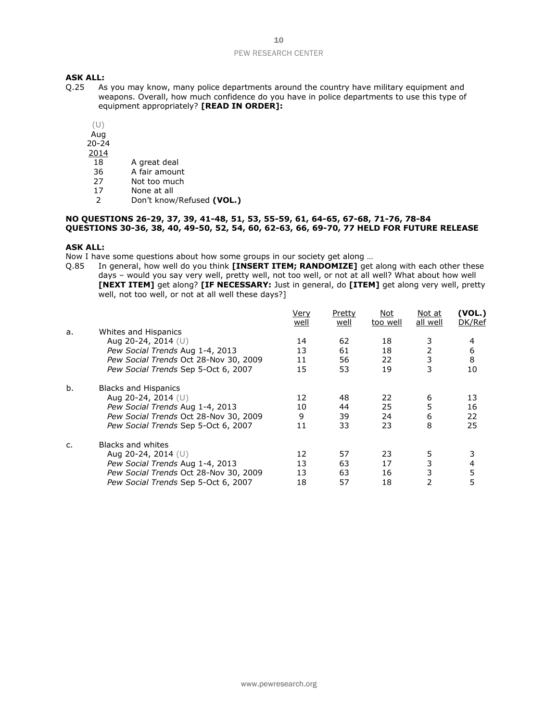# **ASK ALL:**<br>0.25 As

- As you may know, many police departments around the country have military equipment and weapons. Overall, how much confidence do you have in police departments to use this type of equipment appropriately? **[READ IN ORDER]:**
	- (U)
	- Aug
	- 20-24
	- 2014
	- 18 A great deal<br>36 A fair amoun
	- A fair amount
	- 27 Not too much
	- 17 None at all<br>2 Don't know
	- 2 Don't know/Refused **(VOL.)**

#### **NO QUESTIONS 26-29, 37, 39, 41-48, 51, 53, 55-59, 61, 64-65, 67-68, 71-76, 78-84 QUESTIONS 30-36, 38, 40, 49-50, 52, 54, 60, 62-63, 66, 69-70, 77 HELD FOR FUTURE RELEASE**

#### **ASK ALL:**

Now I have some questions about how some groups in our society get along …

Q.85 In general, how well do you think **[INSERT ITEM; RANDOMIZE]** get along with each other these days – would you say very well, pretty well, not too well, or not at all well? What about how well **[NEXT ITEM]** get along? **[IF NECESSARY:** Just in general, do **[ITEM]** get along very well, pretty well, not too well, or not at all well these days?]

|    |                                       | Very | Pretty | Not      | Not at         | (VOL.) |
|----|---------------------------------------|------|--------|----------|----------------|--------|
|    |                                       | well | well   | too well | all well       | DK/Ref |
| a. | Whites and Hispanics                  |      |        |          |                |        |
|    | Aug 20-24, 2014 (U)                   | 14   | 62     | 18       | 3              | 4      |
|    | Pew Social Trends Aug 1-4, 2013       | 13   | 61     | 18       | $\overline{2}$ | 6      |
|    | Pew Social Trends Oct 28-Nov 30, 2009 | 11   | 56     | 22       | 3              | 8      |
|    | Pew Social Trends Sep 5-Oct 6, 2007   | 15   | 53     | 19       | 3              | 10     |
| b. | <b>Blacks and Hispanics</b>           |      |        |          |                |        |
|    | Aug 20-24, 2014 $(U)$                 | 12   | 48     | 22       | 6              | 13     |
|    | Pew Social Trends Aug 1-4, 2013       | 10   | 44     | 25       | 5              | 16     |
|    | Pew Social Trends Oct 28-Nov 30, 2009 | 9    | 39     | 24       | 6              | 22     |
|    | Pew Social Trends Sep 5-Oct 6, 2007   | 11   | 33     | 23       | 8              | 25     |
| C. | Blacks and whites                     |      |        |          |                |        |
|    | Aug 20-24, 2014 (U)                   | 12   | 57     | 23       | 5              |        |
|    | Pew Social Trends Aug 1-4, 2013       | 13   | 63     | 17       | 3              | 4      |
|    | Pew Social Trends Oct 28-Nov 30, 2009 | 13   | 63     | 16       | 3              | 5      |
|    | Pew Social Trends Sep 5-Oct 6, 2007   | 18   | 57     | 18       | 2              | 5      |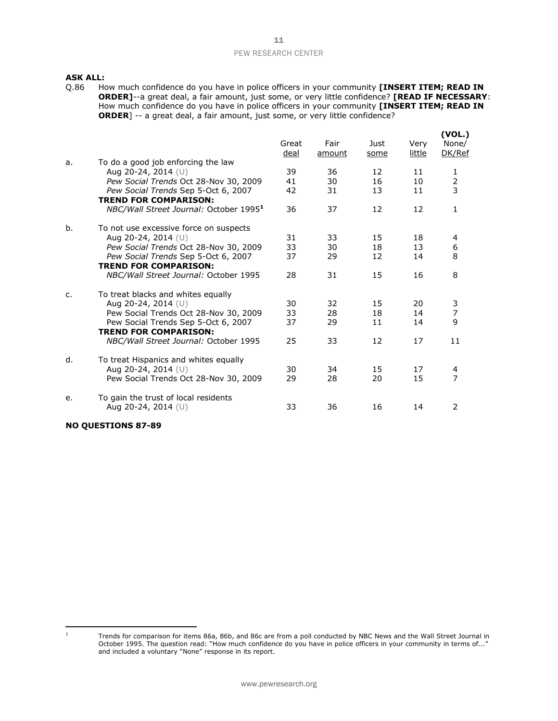# **ASK ALL:**<br>Q.86 Ho

How much confidence do you have in police officers in your community **[INSERT ITEM; READ IN ORDER]**--a great deal, a fair amount, just some, or very little confidence? **[READ IF NECESSARY**: How much confidence do you have in police officers in your community **[INSERT ITEM; READ IN ORDER**] -- a great deal, a fair amount, just some, or very little confidence?

|    |                                                                     | Great<br>deal | Fair<br>amount | Just<br>some      | Very<br>little | (VOL.)<br>None/<br>DK/Ref |
|----|---------------------------------------------------------------------|---------------|----------------|-------------------|----------------|---------------------------|
| a. | To do a good job enforcing the law                                  | 39            | 36             | 12                | 11             |                           |
|    | Aug 20-24, 2014 (U)<br>Pew Social Trends Oct 28-Nov 30, 2009        | 41            | 30             | 16                | 10             | 1                         |
|    | Pew Social Trends Sep 5-Oct 6, 2007                                 | 42            | 31             | 13                | 11             | $\frac{2}{3}$             |
|    | <b>TREND FOR COMPARISON:</b>                                        |               |                |                   |                |                           |
|    | NBC/Wall Street Journal: October 1995 <sup>1</sup>                  | 36            | 37             | 12                | 12             | 1                         |
| b. | To not use excessive force on suspects                              |               |                |                   |                |                           |
|    | Aug 20-24, 2014 (U)                                                 | 31            | 33             | 15                | 18             | 4                         |
|    | Pew Social Trends Oct 28-Nov 30, 2009                               | 33            | 30             | 18                | 13             | 6                         |
|    | Pew Social Trends Sep 5-Oct 6, 2007                                 | 37            | 29             | $12 \overline{ }$ | 14             | 8                         |
|    | <b>TREND FOR COMPARISON:</b>                                        |               |                |                   |                |                           |
|    | NBC/Wall Street Journal: October 1995                               | 28            | 31             | 15                | 16             | 8                         |
| c. | To treat blacks and whites equally                                  |               |                |                   |                |                           |
|    | Aug 20-24, 2014 (U)                                                 | 30            | 32             | 15                | 20             | 3                         |
|    | Pew Social Trends Oct 28-Nov 30, 2009                               | 33            | 28             | 18                | 14             | $\overline{7}$            |
|    | Pew Social Trends Sep 5-Oct 6, 2007<br><b>TREND FOR COMPARISON:</b> | 37            | 29             | 11                | 14             | 9                         |
|    | NBC/Wall Street Journal: October 1995                               | 25            | 33             | 12                | 17             | 11                        |
| d. | To treat Hispanics and whites equally                               |               |                |                   |                |                           |
|    | Aug 20-24, 2014 $(U)$                                               | 30            | 34             | 15                | 17             | 4                         |
|    | Pew Social Trends Oct 28-Nov 30, 2009                               | 29            | 28             | 20                | 15             | 7                         |
| e. | To gain the trust of local residents                                |               |                |                   |                |                           |
|    | Aug 20-24, 2014 (U)                                                 | 33            | 36             | 16                | 14             | 2                         |

#### **NO QUESTIONS 87-89**

 $1$  Trends for comparison for items 86a, 86b, and 86c are from a poll conducted by NBC News and the Wall Street Journal in October 1995. The question read: "How much confidence do you have in police officers in your community in terms of..." and included a voluntary "None" response in its report.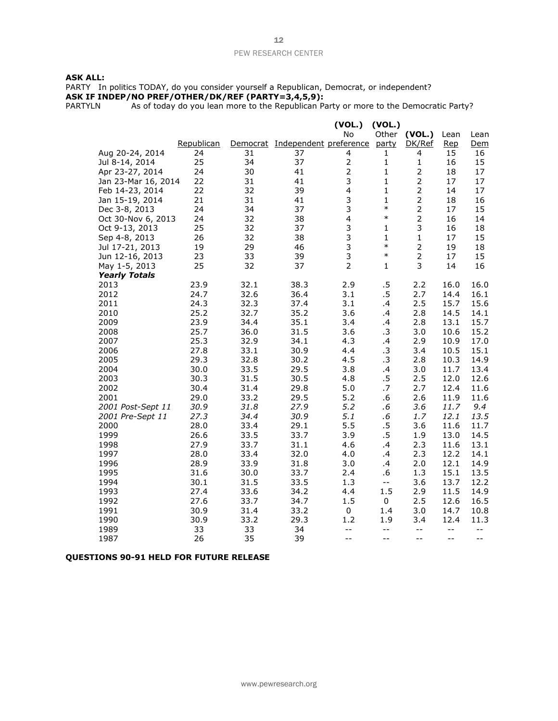#### **ASK ALL:**

PARTY In politics TODAY, do you consider yourself a Republican, Democrat, or independent? **ASK IF INDEP/NO PREF/OTHER/DK/REF (PARTY=3,4,5,9):**

PARTYLN As of today do you lean more to the Republican Party or more to the Democratic Party?

|                          |              |              |                                 | (VOL.)                  | (VOL.)                     |                |              |             |
|--------------------------|--------------|--------------|---------------------------------|-------------------------|----------------------------|----------------|--------------|-------------|
|                          |              |              |                                 | No                      | Other                      | (VOL.)         | Lean         | Lean        |
|                          | Republican   |              | Democrat Independent preference |                         | party                      | DK/Ref         | Rep          | Dem         |
| Aug 20-24, 2014          | 24           | 31           | 37                              | 4                       | 1                          | 4              | 15           | 16          |
| Jul 8-14, 2014           | 25           | 34           | 37                              | $\mathbf 2$             | $\mathbf{1}$               | $\mathbf 1$    | 16           | 15          |
| Apr 23-27, 2014          | 24           | 30           | 41                              | $\overline{2}$          | $\mathbf{1}$               | $\mathbf 2$    | 18           | 17          |
| Jan 23-Mar 16, 2014      | 22           | 31           | 41                              | 3                       | $\mathbf{1}$               | $\overline{2}$ | 17           | 17          |
| Feb 14-23, 2014          | 22           | 32           | 39                              | $\overline{\mathbf{4}}$ | $\mathbf{1}$               | $\overline{2}$ | 14           | 17          |
| Jan 15-19, 2014          | 21           | 31           | 41                              | 3                       | 1                          | $\mathbf 2$    | 18           | 16          |
| Dec 3-8, 2013            | 24           | 34           | 37                              | 3                       | $\ast$                     | $\overline{2}$ | 17           | 15          |
| Oct 30-Nov 6, 2013       | 24           | 32           | 38                              | $\overline{\mathbf{4}}$ | $\ast$                     | $\overline{2}$ | 16           | 14          |
| Oct 9-13, 2013           | 25           | 32           | 37                              | 3                       | 1                          | 3              | 16           | 18          |
| Sep 4-8, 2013            | 26           | 32           | 38                              | 3                       | $\mathbf{1}$               | $\mathbf 1$    | 17           | 15          |
| Jul 17-21, 2013          | 19           | 29           | 46                              | 3                       | $\ast$                     | $\mathbf 2$    | 19           | 18          |
| Jun 12-16, 2013          | 23           | 33           | 39                              | 3                       | $\ast$                     | $\overline{2}$ | 17           | 15          |
| May 1-5, 2013            | 25           | 32           | 37                              | $\overline{2}$          | $\mathbf{1}$               | 3              | 14           | 16          |
| <b>Yearly Totals</b>     |              |              |                                 |                         |                            |                |              |             |
| 2013                     | 23.9         | 32.1         | 38.3                            | 2.9                     | .5                         | 2.2            | 16.0         | 16.0        |
| 2012                     | 24.7         | 32.6         | 36.4                            | 3.1                     | .5                         | 2.7            | 14.4         | 16.1        |
| 2011                     | 24.3         | 32.3         | 37.4                            | 3.1                     | .4                         | 2.5            | 15.7         | 15.6        |
| 2010                     | 25.2         | 32.7         | 35.2                            | 3.6                     | .4                         | 2.8            | 14.5         | 14.1        |
| 2009                     | 23.9         | 34.4         | 35.1                            | 3.4                     | .4                         | 2.8            | 13.1         | 15.7        |
| 2008                     | 25.7         | 36.0         | 31.5                            | 3.6                     | .3                         | 3.0            | 10.6         | 15.2        |
| 2007                     | 25.3         | 32.9         | 34.1                            | 4.3                     | .4                         | 2.9            | 10.9         | 17.0        |
| 2006                     | 27.8         | 33.1         | 30.9                            | 4.4                     | .3                         | 3.4            | 10.5         | 15.1        |
| 2005                     | 29.3         | 32.8         | 30.2                            | 4.5                     | $\cdot$ 3                  | 2.8            | 10.3         | 14.9        |
| 2004                     | 30.0         | 33.5         | 29.5                            | 3.8                     | .4                         | 3.0            | 11.7         | 13.4        |
| 2003                     | 30.3         | 31.5         | 30.5                            | 4.8                     | .5                         | 2.5            | 12.0         | 12.6        |
| 2002                     | 30.4         | 31.4         | 29.8                            | 5.0                     | .7                         | 2.7            | 12.4         | 11.6        |
| 2001                     | 29.0         | 33.2         | 29.5                            | 5.2<br>5.2              | .6<br>$.6\,$               | 2.6<br>3.6     | 11.9         | 11.6<br>9.4 |
| 2001 Post-Sept 11        | 30.9<br>27.3 | 31.8<br>34.4 | 27.9<br>30.9                    | 5.1                     | .6                         | 1.7            | 11.7<br>12.1 | 13.5        |
| 2001 Pre-Sept 11<br>2000 | 28.0         | 33.4         | 29.1                            | 5.5                     | .5                         | 3.6            | 11.6         | 11.7        |
| 1999                     | 26.6         | 33.5         | 33.7                            | 3.9                     | .5                         | 1.9            | 13.0         | 14.5        |
| 1998                     | 27.9         | 33.7         | 31.1                            | 4.6                     | .4                         | 2.3            | 11.6         | 13.1        |
| 1997                     | 28.0         | 33.4         | 32.0                            | 4.0                     | .4                         | 2.3            | 12.2         | 14.1        |
| 1996                     | 28.9         | 33.9         | 31.8                            | 3.0                     | .4                         | 2.0            | 12.1         | 14.9        |
| 1995                     | 31.6         | 30.0         | 33.7                            | 2.4                     | .6                         | 1.3            | 15.1         | 13.5        |
| 1994                     | 30.1         | 31.5         | 33.5                            | 1.3                     | $\overline{\phantom{a}}$ . | 3.6            | 13.7         | 12.2        |
| 1993                     | 27.4         | 33.6         | 34.2                            | 4.4                     | 1.5                        | 2.9            | 11.5         | 14.9        |
| 1992                     | 27.6         | 33.7         | 34.7                            | 1.5                     | 0                          | 2.5            | 12.6         | 16.5        |
| 1991                     | 30.9         | 31.4         | 33.2                            | $\pmb{0}$               | 1.4                        | 3.0            | 14.7         | 10.8        |
| 1990                     | 30.9         | 33.2         | 29.3                            | 1.2                     | 1.9                        | 3.4            | 12.4         | 11.3        |
| 1989                     | 33           | 33           | 34                              | $-$                     | $- -$                      | $- -$          | $- -$        | $- -$       |
| 1987                     | 26           | 35           | 39                              | $-$                     | $-$                        | $-$            | $-$          | $ -$        |

#### **QUESTIONS 90-91 HELD FOR FUTURE RELEASE**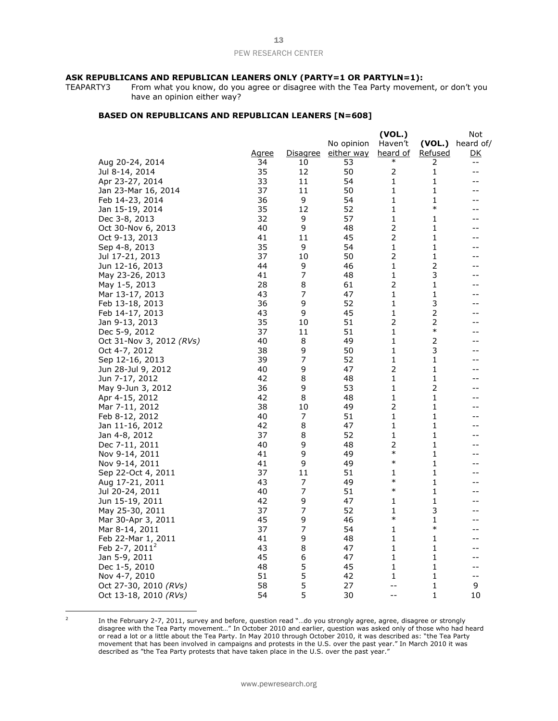# **ASK REPUBLICANS AND REPUBLICAN LEANERS ONLY (PARTY=1 OR PARTYLN=1):**<br>TEAPARTY3 From what you know, do you agree or disagree with the Tea Party movement

From what you know, do you agree or disagree with the Tea Party movement, or don't you have an opinion either way?

#### **BASED ON REPUBLICANS AND REPUBLICAN LEANERS [N=608]**

|                          |              |                 |                   | (VOL.)         |                         | Not                                           |
|--------------------------|--------------|-----------------|-------------------|----------------|-------------------------|-----------------------------------------------|
|                          |              |                 | No opinion        | Haven't        | (VOL.)                  | heard of/                                     |
|                          | <u>Agree</u> | <u>Disagree</u> | <u>either way</u> | heard of       | <u>Refused</u>          | <u>DK</u>                                     |
| Aug 20-24, 2014          | 34           | 10              | 53                | $\ast$         | 2                       | $\mathord{\hspace{1pt}\text{--}\hspace{1pt}}$ |
| Jul 8-14, 2014           | 35           | 12              | 50                | $\overline{2}$ | 1                       | $-$                                           |
| Apr 23-27, 2014          | 33           | 11              | 54                | 1              | 1                       | --                                            |
| Jan 23-Mar 16, 2014      | 37           | 11              | 50                | 1              | 1                       | --                                            |
| Feb 14-23, 2014          | 36           | 9               | 54                | 1              | 1                       | $-$                                           |
| Jan 15-19, 2014          | 35           | 12              | 52                | 1              | $\ast$                  | --                                            |
| Dec 3-8, 2013            | 32           | 9               | 57                | 1              | 1                       | --                                            |
| Oct 30-Nov 6, 2013       | 40           | 9               | 48                | 2              | 1                       | --                                            |
| Oct 9-13, 2013           | 41           | 11              | 45                | $\mathbf 2$    | 1                       | --                                            |
| Sep 4-8, 2013            | 35           | 9               | 54                | 1              | 1                       | --                                            |
| Jul 17-21, 2013          | 37           | 10              | 50                | $\overline{2}$ | 1                       | --                                            |
| Jun 12-16, 2013          | 44           | 9               | 46                | 1              | 2                       | --                                            |
| May 23-26, 2013          | 41           | 7               | 48                | $\mathbf{1}$   | 3                       | --                                            |
| May 1-5, 2013            | 28           | 8               | 61                | $\overline{2}$ | 1                       | --                                            |
| Mar 13-17, 2013          | 43           | 7               | 47                | 1              | $\mathbf{1}$            | --                                            |
| Feb 13-18, 2013          | 36           | 9               | 52                | 1              | 3                       | --                                            |
| Feb 14-17, 2013          | 43           | 9               | 45                | 1              | $\overline{\mathbf{c}}$ | --                                            |
| Jan 9-13, 2013           | 35           | 10              | 51                | 2              | $\overline{c}$          | --                                            |
| Dec 5-9, 2012            | 37           | 11              | 51                | 1              | $\ast$                  | --                                            |
| Oct 31-Nov 3, 2012 (RVs) | 40           | 8               | 49                | 1              | 2                       | $-$                                           |
| Oct 4-7, 2012            | 38           | 9               | 50                | 1              | 3                       | $-$                                           |
| Sep 12-16, 2013          | 39           | 7               | 52                | 1              | 1                       | $-1$                                          |
| Jun 28-Jul 9, 2012       | 40           | 9               | 47                | $\overline{2}$ | 1                       | --                                            |
| Jun 7-17, 2012           | 42           | 8               | 48                | 1              | 1                       | --                                            |
| May 9-Jun 3, 2012        | 36           | 9               | 53                | 1              | 2                       | --                                            |
| Apr 4-15, 2012           | 42           | 8               | 48                | 1              | 1                       | --                                            |
| Mar 7-11, 2012           | 38           | 10              | 49                | $\mathbf 2$    | 1                       | --                                            |
| Feb 8-12, 2012           | 40           | 7               | 51                | 1              | 1                       | --                                            |
| Jan 11-16, 2012          | 42           | 8               | 47                | 1              | 1                       | --                                            |
| Jan 4-8, 2012            | 37           | 8               | 52                | 1              | 1                       | --                                            |
| Dec 7-11, 2011           | 40           | 9               | 48                | 2              | $\mathbf{1}$            | --                                            |
| Nov 9-14, 2011           | 41           | 9               | 49                | $\ast$         | 1                       | $-1$                                          |
| Nov 9-14, 2011           | 41           | 9               | 49                | $\ast$         | 1                       |                                               |
| Sep 22-Oct 4, 2011       | 37           | 11              | 51                | 1              | 1                       | --                                            |
| Aug 17-21, 2011          | 43           | 7               | 49                | $\ast$         | 1                       | --                                            |
| Jul 20-24, 2011          | 40           | 7               | 51                | $\ast$         | 1                       | --                                            |
| Jun 15-19, 2011          | 42           | 9               | 47                | 1              | 1                       | --                                            |
| May 25-30, 2011          | 37           | 7               | 52                | 1              | 3                       | --                                            |
| Mar 30-Apr 3, 2011       | 45           | 9               | 46                | $\ast$         | 1                       | --                                            |
| Mar 8-14, 2011           | 37           | 7               | 54                | 1              | $\ast$                  | --                                            |
| Feb 22-Mar 1, 2011       | 41           | 9               | 48                | 1              | 1                       | $-1$                                          |
| Feb 2-7, $2011^2$        | 43           | 8               | 47                | 1              | 1                       | --                                            |
| Jan 5-9, 2011            | 45           | 6               | 47                | 1              | 1                       | --                                            |
| Dec 1-5, 2010            | 48           | 5               | 45                | 1              | 1                       | $-$                                           |
| Nov 4-7, 2010            | 51           | 5               | 42                | 1              | 1                       | $-$                                           |
| Oct 27-30, 2010 (RVs)    | 58           | 5               | 27                | $-1$           | 1                       | 9                                             |
| Oct 13-18, 2010 (RVs)    | 54           | 5               | 30                | $-1$           | 1                       | 10                                            |

 2

In the February 2-7, 2011, survey and before, question read "…do you strongly agree, agree, disagree or strongly disagree with the Tea Party movement…" In October 2010 and earlier, question was asked only of those who had heard or read a lot or a little about the Tea Party. In May 2010 through October 2010, it was described as: "the Tea Party movement that has been involved in campaigns and protests in the U.S. over the past year." In March 2010 it was described as "the Tea Party protests that have taken place in the U.S. over the past year."